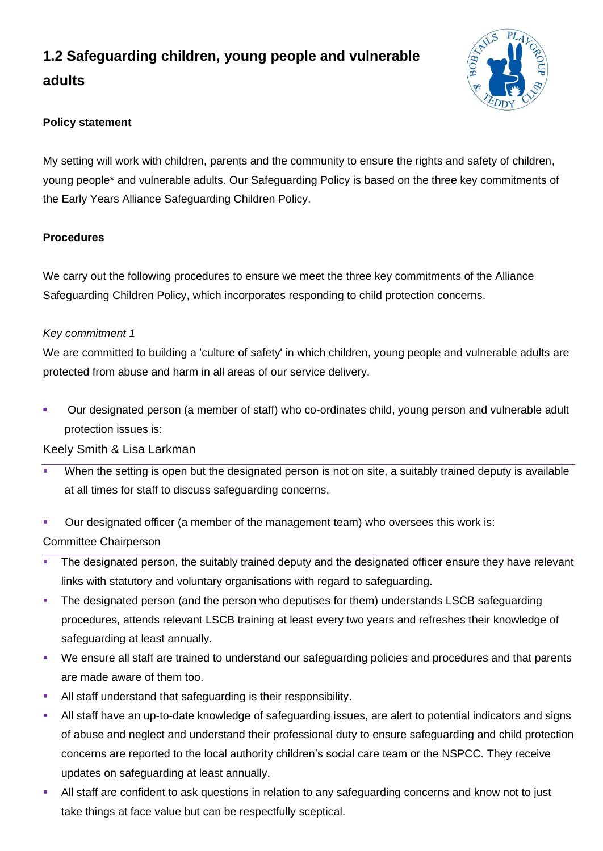# **1.2 Safeguarding children, young people and vulnerable adults**



## **Policy statement**

My setting will work with children, parents and the community to ensure the rights and safety of children, young people\* and vulnerable adults. Our Safeguarding Policy is based on the three key commitments of the Early Years Alliance Safeguarding Children Policy.

# **Procedures**

We carry out the following procedures to ensure we meet the three key commitments of the Alliance Safeguarding Children Policy, which incorporates responding to child protection concerns.

# *Key commitment 1*

We are committed to building a 'culture of safety' in which children, young people and vulnerable adults are protected from abuse and harm in all areas of our service delivery.

Our designated person (a member of staff) who co-ordinates child, young person and vulnerable adult protection issues is:

# Keely Smith & Lisa Larkman

- When the setting is open but the designated person is not on site, a suitably trained deputy is available at all times for staff to discuss safeguarding concerns.
- Our designated officer (a member of the management team) who oversees this work is:

Committee Chairperson

- The designated person, the suitably trained deputy and the designated officer ensure they have relevant links with statutory and voluntary organisations with regard to safeguarding.
- **•** The designated person (and the person who deputises for them) understands LSCB safeguarding procedures, attends relevant LSCB training at least every two years and refreshes their knowledge of safeguarding at least annually.
- We ensure all staff are trained to understand our safeguarding policies and procedures and that parents are made aware of them too.
- All staff understand that safeguarding is their responsibility.
- All staff have an up-to-date knowledge of safeguarding issues, are alert to potential indicators and signs of abuse and neglect and understand their professional duty to ensure safeguarding and child protection concerns are reported to the local authority children's social care team or the NSPCC. They receive updates on safeguarding at least annually.
- All staff are confident to ask questions in relation to any safeguarding concerns and know not to just take things at face value but can be respectfully sceptical.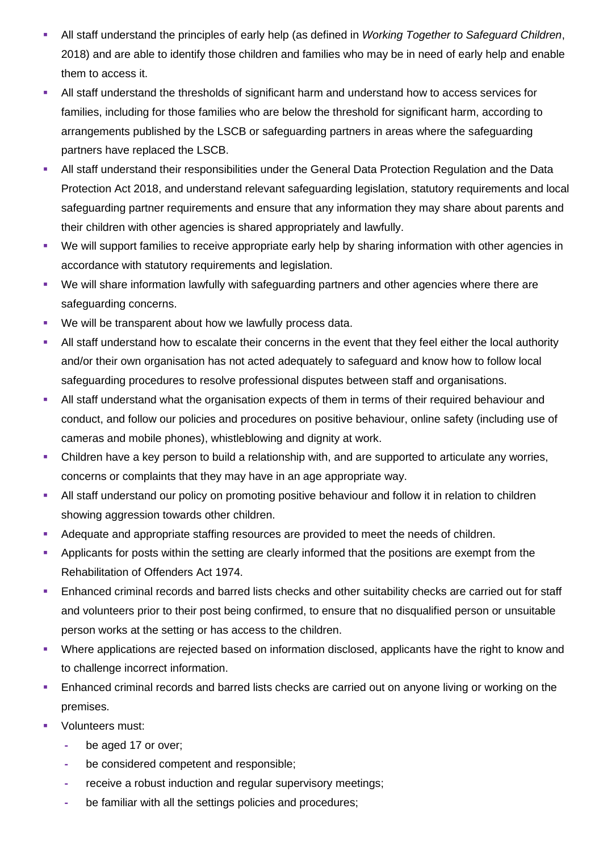- All staff understand the principles of early help (as defined in *Working Together to Safeguard Children*, 2018) and are able to identify those children and families who may be in need of early help and enable them to access it.
- All staff understand the thresholds of significant harm and understand how to access services for families, including for those families who are below the threshold for significant harm, according to arrangements published by the LSCB or safeguarding partners in areas where the safeguarding partners have replaced the LSCB.
- **■** All staff understand their responsibilities under the General Data Protection Regulation and the Data Protection Act 2018, and understand relevant safeguarding legislation, statutory requirements and local safeguarding partner requirements and ensure that any information they may share about parents and their children with other agencies is shared appropriately and lawfully.
- We will support families to receive appropriate early help by sharing information with other agencies in accordance with statutory requirements and legislation.
- We will share information lawfully with safeguarding partners and other agencies where there are safeguarding concerns.
- We will be transparent about how we lawfully process data.
- All staff understand how to escalate their concerns in the event that they feel either the local authority and/or their own organisation has not acted adequately to safeguard and know how to follow local safeguarding procedures to resolve professional disputes between staff and organisations.
- **EXT** All staff understand what the organisation expects of them in terms of their required behaviour and conduct, and follow our policies and procedures on positive behaviour, online safety (including use of cameras and mobile phones), whistleblowing and dignity at work.
- **EXECT A** Children have a key person to build a relationship with, and are supported to articulate any worries, concerns or complaints that they may have in an age appropriate way.
- **EXTENDING THE STARF IN STARF IN STARF IN STARF IN STARF IN STARF IN STARF IN STARF IN STARF IN STARF IN STARF I** showing aggression towards other children.
- **EXEDENT Adequate and appropriate staffing resources are provided to meet the needs of children.**
- **•** Applicants for posts within the setting are clearly informed that the positions are exempt from the Rehabilitation of Offenders Act 1974.
- **Enhanced criminal records and barred lists checks and other suitability checks are carried out for staff** and volunteers prior to their post being confirmed, to ensure that no disqualified person or unsuitable person works at the setting or has access to the children.
- Where applications are rejected based on information disclosed, applicants have the right to know and to challenge incorrect information.
- **Enhanced criminal records and barred lists checks are carried out on anyone living or working on the** premises.
- Volunteers must:
	- **-** be aged 17 or over;
	- **-** be considered competent and responsible;
	- **-** receive a robust induction and regular supervisory meetings;
	- **-** be familiar with all the settings policies and procedures;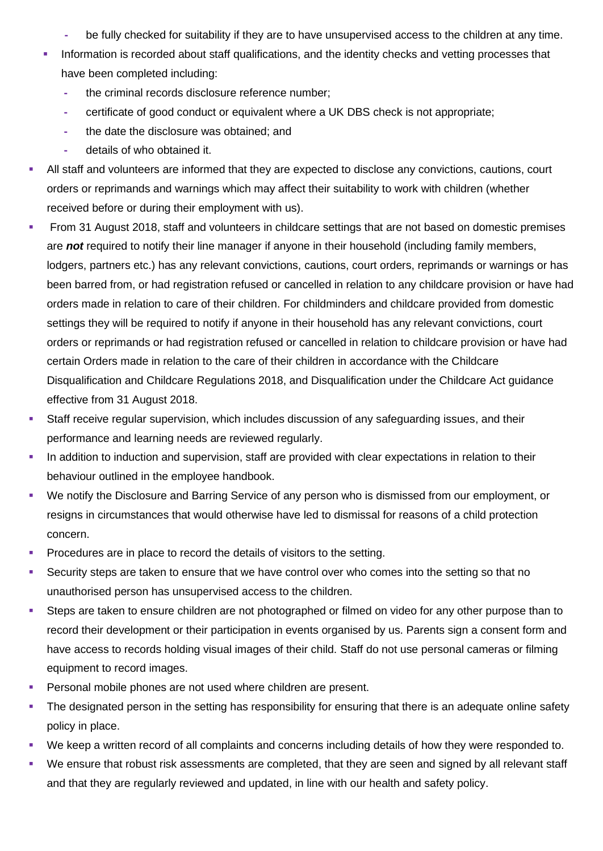- **-** be fully checked for suitability if they are to have unsupervised access to the children at any time.
- **•** Information is recorded about staff qualifications, and the identity checks and vetting processes that have been completed including:
	- **-** the criminal records disclosure reference number;
	- **-** certificate of good conduct or equivalent where a UK DBS check is not appropriate;
	- **-** the date the disclosure was obtained; and
	- **-** details of who obtained it.
- All staff and volunteers are informed that they are expected to disclose any convictions, cautions, court orders or reprimands and warnings which may affect their suitability to work with children (whether received before or during their employment with us).
- From 31 August 2018, staff and volunteers in childcare settings that are not based on domestic premises are *not* required to notify their line manager if anyone in their household (including family members, lodgers, partners etc.) has any relevant convictions, cautions, court orders, reprimands or warnings or has been barred from, or had registration refused or cancelled in relation to any childcare provision or have had orders made in relation to care of their children. For childminders and childcare provided from domestic settings they will be required to notify if anyone in their household has any relevant convictions, court orders or reprimands or had registration refused or cancelled in relation to childcare provision or have had certain Orders made in relation to the care of their children in accordance with the Childcare Disqualification and Childcare Regulations 2018, and Disqualification under the Childcare Act guidance effective from 31 August 2018.
- **EXECT** Staff receive regular supervision, which includes discussion of any safeguarding issues, and their performance and learning needs are reviewed regularly.
- In addition to induction and supervision, staff are provided with clear expectations in relation to their behaviour outlined in the employee handbook.
- We notify the Disclosure and Barring Service of any person who is dismissed from our employment, or resigns in circumstances that would otherwise have led to dismissal for reasons of a child protection concern.
- Procedures are in place to record the details of visitors to the setting.
- Security steps are taken to ensure that we have control over who comes into the setting so that no unauthorised person has unsupervised access to the children.
- Steps are taken to ensure children are not photographed or filmed on video for any other purpose than to record their development or their participation in events organised by us. Parents sign a consent form and have access to records holding visual images of their child. Staff do not use personal cameras or filming equipment to record images.
- **•** Personal mobile phones are not used where children are present.
- The designated person in the setting has responsibility for ensuring that there is an adequate online safety policy in place.
- We keep a written record of all complaints and concerns including details of how they were responded to.
- We ensure that robust risk assessments are completed, that they are seen and signed by all relevant staff and that they are regularly reviewed and updated, in line with our health and safety policy.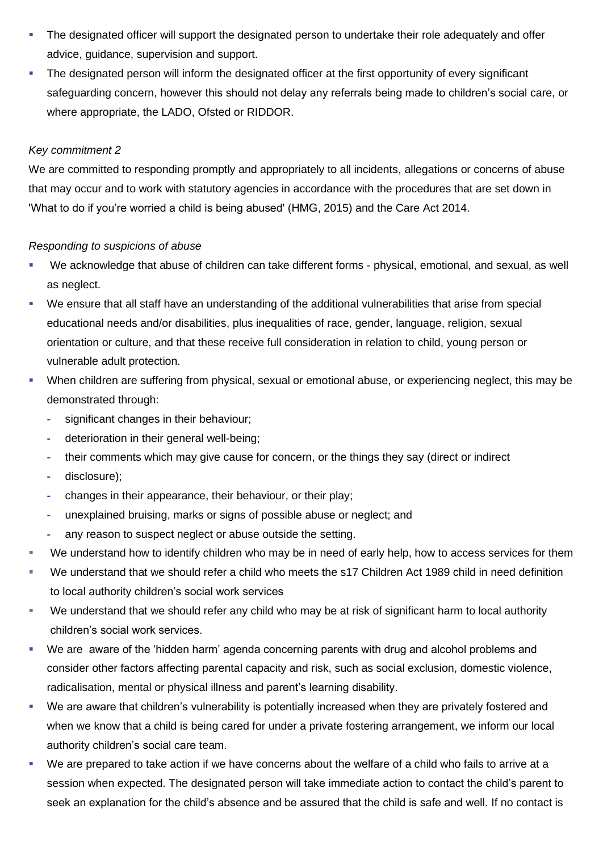- The designated officer will support the designated person to undertake their role adequately and offer advice, guidance, supervision and support.
- **•** The designated person will inform the designated officer at the first opportunity of every significant safeguarding concern, however this should not delay any referrals being made to children's social care, or where appropriate, the LADO, Ofsted or RIDDOR.

## *Key commitment 2*

We are committed to responding promptly and appropriately to all incidents, allegations or concerns of abuse that may occur and to work with statutory agencies in accordance with the procedures that are set down in 'What to do if you're worried a child is being abused' (HMG, 2015) and the Care Act 2014.

## *Responding to suspicions of abuse*

- We acknowledge that abuse of children can take different forms physical, emotional, and sexual, as well as neglect.
- We ensure that all staff have an understanding of the additional vulnerabilities that arise from special educational needs and/or disabilities, plus inequalities of race, gender, language, religion, sexual orientation or culture, and that these receive full consideration in relation to child, young person or vulnerable adult protection.
- When children are suffering from physical, sexual or emotional abuse, or experiencing neglect, this may be demonstrated through:
	- **-** significant changes in their behaviour;
	- **-** deterioration in their general well-being;
	- **-** their comments which may give cause for concern, or the things they say (direct or indirect
	- **-** disclosure);
	- **-** changes in their appearance, their behaviour, or their play;
	- **-** unexplained bruising, marks or signs of possible abuse or neglect; and
	- **-** any reason to suspect neglect or abuse outside the setting.
- We understand how to identify children who may be in need of early help, how to access services for them
- We understand that we should refer a child who meets the s17 Children Act 1989 child in need definition to local authority children's social work services
- We understand that we should refer any child who may be at risk of significant harm to local authority children's social work services.
- We are aware of the 'hidden harm' agenda concerning parents with drug and alcohol problems and consider other factors affecting parental capacity and risk, such as social exclusion, domestic violence, radicalisation, mental or physical illness and parent's learning disability.
- We are aware that children's vulnerability is potentially increased when they are privately fostered and when we know that a child is being cared for under a private fostering arrangement, we inform our local authority children's social care team.
- We are prepared to take action if we have concerns about the welfare of a child who fails to arrive at a session when expected. The designated person will take immediate action to contact the child's parent to seek an explanation for the child's absence and be assured that the child is safe and well. If no contact is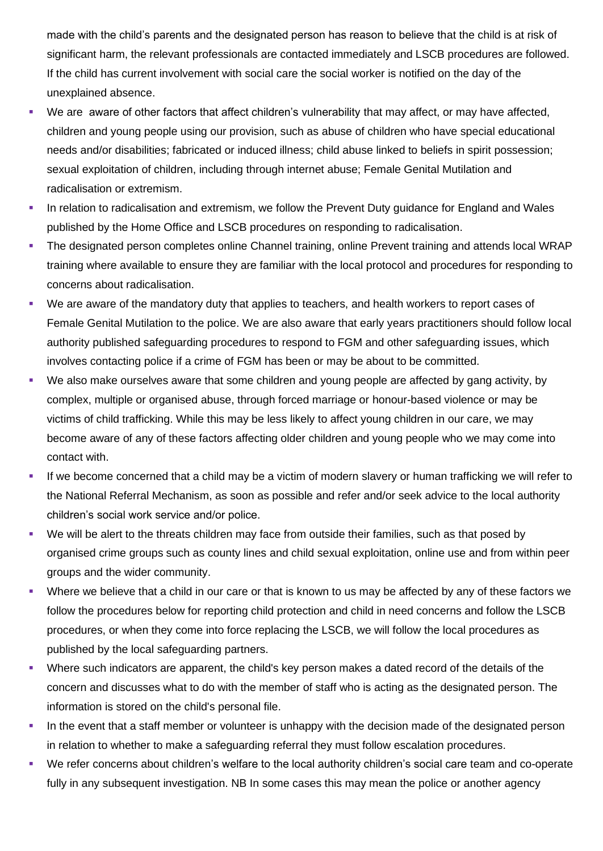made with the child's parents and the designated person has reason to believe that the child is at risk of significant harm, the relevant professionals are contacted immediately and LSCB procedures are followed. If the child has current involvement with social care the social worker is notified on the day of the unexplained absence.

- We are aware of other factors that affect children's vulnerability that may affect, or may have affected, children and young people using our provision, such as abuse of children who have special educational needs and/or disabilities; fabricated or induced illness; child abuse linked to beliefs in spirit possession; sexual exploitation of children, including through internet abuse; Female Genital Mutilation and radicalisation or extremism.
- In relation to radicalisation and extremism, we follow the Prevent Duty guidance for England and Wales published by the Home Office and LSCB procedures on responding to radicalisation.
- The designated person completes online Channel training, online Prevent training and attends local WRAP training where available to ensure they are familiar with the local protocol and procedures for responding to concerns about radicalisation.
- We are aware of the mandatory duty that applies to teachers, and health workers to report cases of Female Genital Mutilation to the police. We are also aware that early years practitioners should follow local authority published safeguarding procedures to respond to FGM and other safeguarding issues, which involves contacting police if a crime of FGM has been or may be about to be committed.
- We also make ourselves aware that some children and young people are affected by gang activity, by complex, multiple or organised abuse, through forced marriage or honour-based violence or may be victims of child trafficking. While this may be less likely to affect young children in our care, we may become aware of any of these factors affecting older children and young people who we may come into contact with.
- If we become concerned that a child may be a victim of modern slavery or human trafficking we will refer to the National Referral Mechanism, as soon as possible and refer and/or seek advice to the local authority children's social work service and/or police.
- We will be alert to the threats children may face from outside their families, such as that posed by organised crime groups such as county lines and child sexual exploitation, online use and from within peer groups and the wider community.
- Where we believe that a child in our care or that is known to us may be affected by any of these factors we follow the procedures below for reporting child protection and child in need concerns and follow the LSCB procedures, or when they come into force replacing the LSCB, we will follow the local procedures as published by the local safeguarding partners.
- Where such indicators are apparent, the child's key person makes a dated record of the details of the concern and discusses what to do with the member of staff who is acting as the designated person. The information is stored on the child's personal file.
- In the event that a staff member or volunteer is unhappy with the decision made of the designated person in relation to whether to make a safeguarding referral they must follow escalation procedures.
- We refer concerns about children's welfare to the local authority children's social care team and co-operate fully in any subsequent investigation. NB In some cases this may mean the police or another agency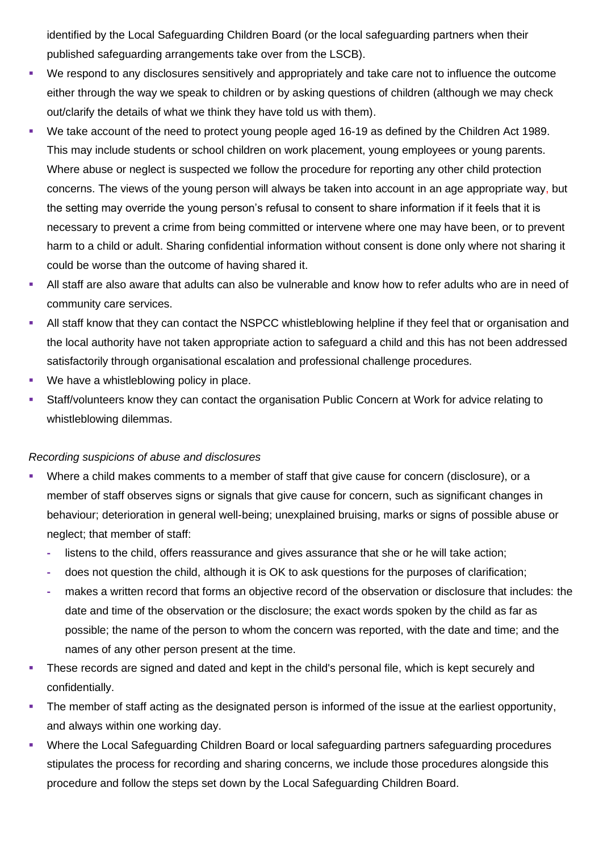identified by the Local Safeguarding Children Board (or the local safeguarding partners when their published safeguarding arrangements take over from the LSCB).

- We respond to any disclosures sensitively and appropriately and take care not to influence the outcome either through the way we speak to children or by asking questions of children (although we may check out/clarify the details of what we think they have told us with them).
- We take account of the need to protect young people aged 16-19 as defined by the Children Act 1989. This may include students or school children on work placement, young employees or young parents. Where abuse or neglect is suspected we follow the procedure for reporting any other child protection concerns. The views of the young person will always be taken into account in an age appropriate way, but the setting may override the young person's refusal to consent to share information if it feels that it is necessary to prevent a crime from being committed or intervene where one may have been, or to prevent harm to a child or adult. Sharing confidential information without consent is done only where not sharing it could be worse than the outcome of having shared it.
- All staff are also aware that adults can also be vulnerable and know how to refer adults who are in need of community care services.
- All staff know that they can contact the NSPCC whistleblowing helpline if they feel that or organisation and the local authority have not taken appropriate action to safeguard a child and this has not been addressed satisfactorily through organisational escalation and professional challenge procedures.
- We have a whistleblowing policy in place.
- Staff/volunteers know they can contact the organisation Public Concern at Work for advice relating to whistleblowing dilemmas.

#### *Recording suspicions of abuse and disclosures*

- Where a child makes comments to a member of staff that give cause for concern (disclosure), or a member of staff observes signs or signals that give cause for concern, such as significant changes in behaviour; deterioration in general well-being; unexplained bruising, marks or signs of possible abuse or neglect; that member of staff:
	- **-** listens to the child, offers reassurance and gives assurance that she or he will take action;
	- **-** does not question the child, although it is OK to ask questions for the purposes of clarification;
	- **-** makes a written record that forms an objective record of the observation or disclosure that includes: the date and time of the observation or the disclosure; the exact words spoken by the child as far as possible; the name of the person to whom the concern was reported, with the date and time; and the names of any other person present at the time.
- **•** These records are signed and dated and kept in the child's personal file, which is kept securely and confidentially.
- The member of staff acting as the designated person is informed of the issue at the earliest opportunity, and always within one working day.
- Where the Local Safeguarding Children Board or local safeguarding partners safeguarding procedures stipulates the process for recording and sharing concerns, we include those procedures alongside this procedure and follow the steps set down by the Local Safeguarding Children Board.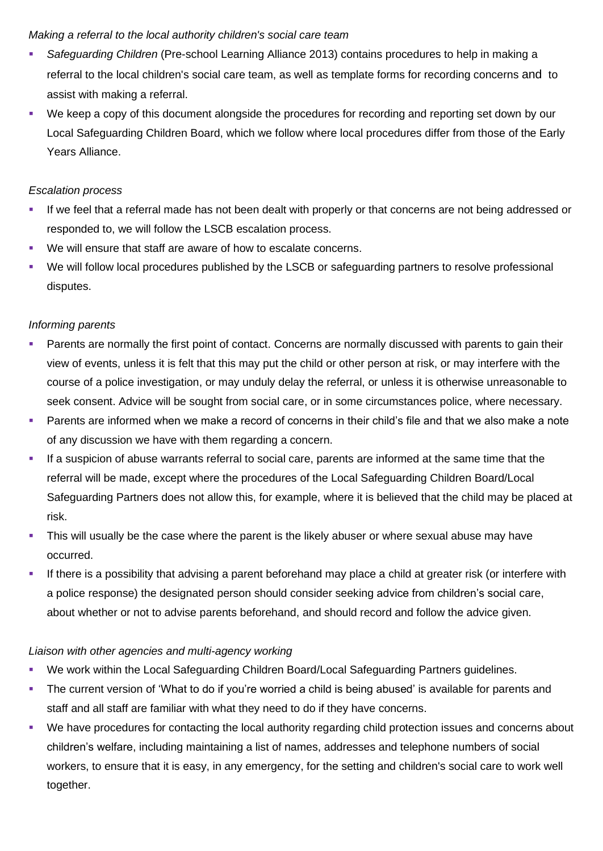#### *Making a referral to the local authority children's social care team*

- Safeguarding Children (Pre-school Learning Alliance 2013) contains procedures to help in making a referral to the local children's social care team, as well as template forms for recording concerns and to assist with making a referral.
- We keep a copy of this document alongside the procedures for recording and reporting set down by our Local Safeguarding Children Board, which we follow where local procedures differ from those of the Early Years Alliance.

## *Escalation process*

- If we feel that a referral made has not been dealt with properly or that concerns are not being addressed or responded to, we will follow the LSCB escalation process.
- We will ensure that staff are aware of how to escalate concerns.
- We will follow local procedures published by the LSCB or safeguarding partners to resolve professional disputes.

# *Informing parents*

- Parents are normally the first point of contact. Concerns are normally discussed with parents to gain their view of events, unless it is felt that this may put the child or other person at risk, or may interfere with the course of a police investigation, or may unduly delay the referral, or unless it is otherwise unreasonable to seek consent. Advice will be sought from social care, or in some circumstances police, where necessary.
- Parents are informed when we make a record of concerns in their child's file and that we also make a note of any discussion we have with them regarding a concern.
- **.** If a suspicion of abuse warrants referral to social care, parents are informed at the same time that the referral will be made, except where the procedures of the Local Safeguarding Children Board/Local Safeguarding Partners does not allow this, for example, where it is believed that the child may be placed at risk.
- **.** This will usually be the case where the parent is the likely abuser or where sexual abuse may have occurred.
- If there is a possibility that advising a parent beforehand may place a child at greater risk (or interfere with a police response) the designated person should consider seeking advice from children's social care, about whether or not to advise parents beforehand, and should record and follow the advice given.

# *Liaison with other agencies and multi-agency working*

- We work within the Local Safeguarding Children Board/Local Safeguarding Partners guidelines.
- **•** The current version of 'What to do if you're worried a child is being abused' is available for parents and staff and all staff are familiar with what they need to do if they have concerns.
- We have procedures for contacting the local authority regarding child protection issues and concerns about children's welfare, including maintaining a list of names, addresses and telephone numbers of social workers, to ensure that it is easy, in any emergency, for the setting and children's social care to work well together.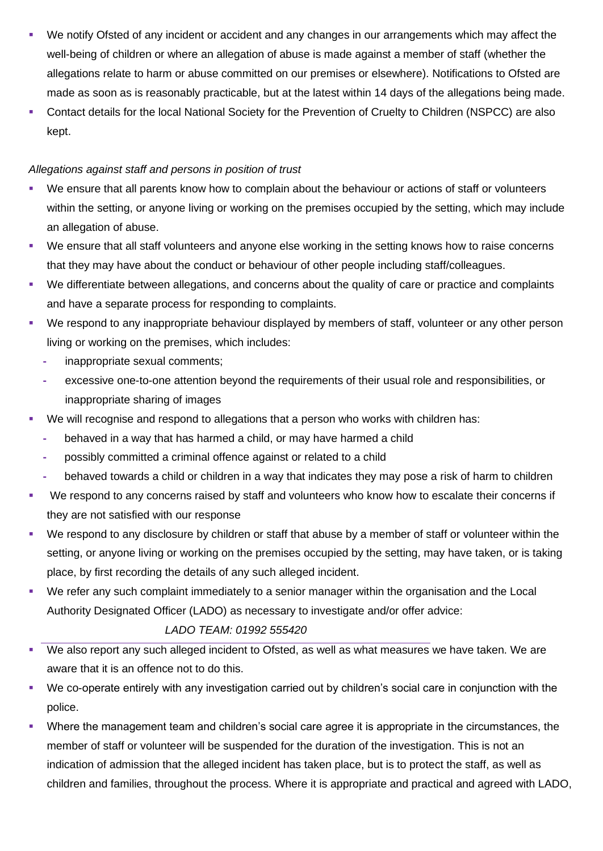- We notify Ofsted of any incident or accident and any changes in our arrangements which may affect the well-being of children or where an allegation of abuse is made against a member of staff (whether the allegations relate to harm or abuse committed on our premises or elsewhere). Notifications to Ofsted are made as soon as is reasonably practicable, but at the latest within 14 days of the allegations being made.
- Contact details for the local National Society for the Prevention of Cruelty to Children (NSPCC) are also kept.

## *Allegations against staff and persons in position of trust*

- We ensure that all parents know how to complain about the behaviour or actions of staff or volunteers within the setting, or anyone living or working on the premises occupied by the setting, which may include an allegation of abuse.
- We ensure that all staff volunteers and anyone else working in the setting knows how to raise concerns that they may have about the conduct or behaviour of other people including staff/colleagues.
- We differentiate between allegations, and concerns about the quality of care or practice and complaints and have a separate process for responding to complaints.
- We respond to any inappropriate behaviour displayed by members of staff, volunteer or any other person living or working on the premises, which includes:
	- **-** inappropriate sexual comments;
	- **-** excessive one-to-one attention beyond the requirements of their usual role and responsibilities, or inappropriate sharing of images
- We will recognise and respond to allegations that a person who works with children has:
	- **-** behaved in a way that has harmed a child, or may have harmed a child
	- **-** possibly committed a criminal offence against or related to a child
	- **-** behaved towards a child or children in a way that indicates they may pose a risk of harm to children
- We respond to any concerns raised by staff and volunteers who know how to escalate their concerns if they are not satisfied with our response
- We respond to any disclosure by children or staff that abuse by a member of staff or volunteer within the setting, or anyone living or working on the premises occupied by the setting, may have taken, or is taking place, by first recording the details of any such alleged incident.
- We refer any such complaint immediately to a senior manager within the organisation and the Local Authority Designated Officer (LADO) as necessary to investigate and/or offer advice:

#### *LADO TEAM: 01992 555420*

- We also report any such alleged incident to Ofsted, as well as what measures we have taken. We are aware that it is an offence not to do this.
- We co-operate entirely with any investigation carried out by children's social care in conjunction with the police.
- Where the management team and children's social care agree it is appropriate in the circumstances, the member of staff or volunteer will be suspended for the duration of the investigation. This is not an indication of admission that the alleged incident has taken place, but is to protect the staff, as well as children and families, throughout the process. Where it is appropriate and practical and agreed with LADO,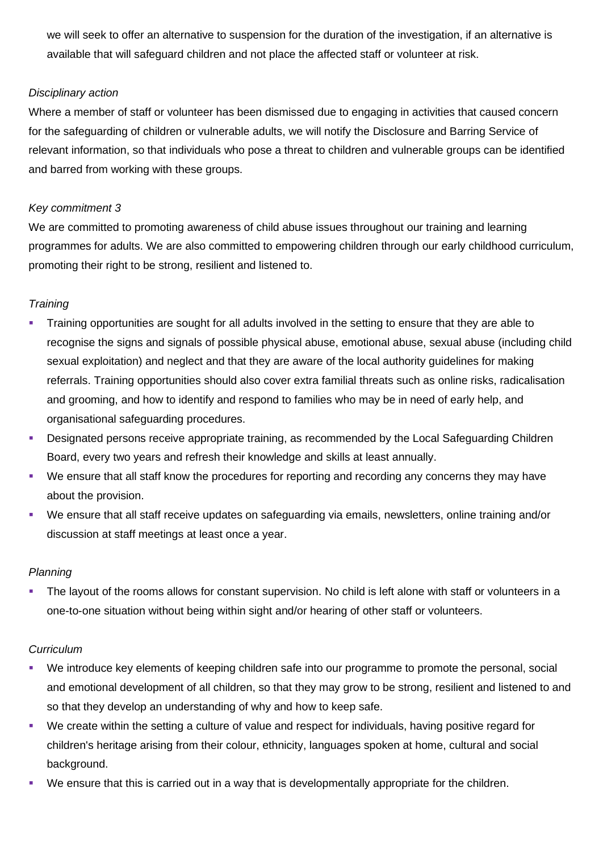we will seek to offer an alternative to suspension for the duration of the investigation, if an alternative is available that will safeguard children and not place the affected staff or volunteer at risk.

#### *Disciplinary action*

Where a member of staff or volunteer has been dismissed due to engaging in activities that caused concern for the safeguarding of children or vulnerable adults, we will notify the Disclosure and Barring Service of relevant information, so that individuals who pose a threat to children and vulnerable groups can be identified and barred from working with these groups.

#### *Key commitment 3*

We are committed to promoting awareness of child abuse issues throughout our training and learning programmes for adults. We are also committed to empowering children through our early childhood curriculum, promoting their right to be strong, resilient and listened to.

## *Training*

- Training opportunities are sought for all adults involved in the setting to ensure that they are able to recognise the signs and signals of possible physical abuse, emotional abuse, sexual abuse (including child sexual exploitation) and neglect and that they are aware of the local authority guidelines for making referrals. Training opportunities should also cover extra familial threats such as online risks, radicalisation and grooming, and how to identify and respond to families who may be in need of early help, and organisational safeguarding procedures.
- Designated persons receive appropriate training, as recommended by the Local Safeguarding Children Board, every two years and refresh their knowledge and skills at least annually.
- We ensure that all staff know the procedures for reporting and recording any concerns they may have about the provision.
- We ensure that all staff receive updates on safeguarding via emails, newsletters, online training and/or discussion at staff meetings at least once a year.

#### *Planning*

The layout of the rooms allows for constant supervision. No child is left alone with staff or volunteers in a one-to-one situation without being within sight and/or hearing of other staff or volunteers.

#### *Curriculum*

- We introduce key elements of keeping children safe into our programme to promote the personal, social and emotional development of all children, so that they may grow to be strong, resilient and listened to and so that they develop an understanding of why and how to keep safe.
- We create within the setting a culture of value and respect for individuals, having positive regard for children's heritage arising from their colour, ethnicity, languages spoken at home, cultural and social background.
- We ensure that this is carried out in a way that is developmentally appropriate for the children.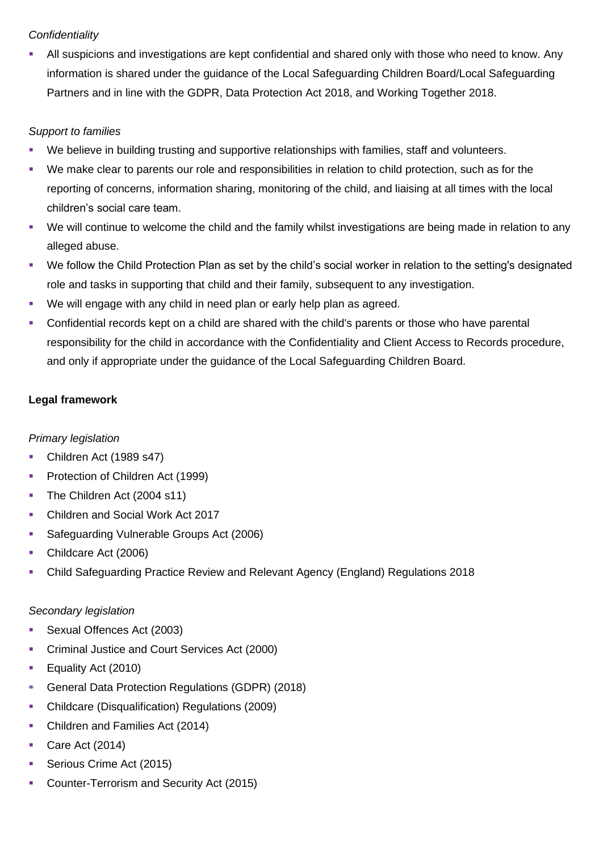## *Confidentiality*

All suspicions and investigations are kept confidential and shared only with those who need to know. Any information is shared under the guidance of the Local Safeguarding Children Board/Local Safeguarding Partners and in line with the GDPR, Data Protection Act 2018, and Working Together 2018.

# *Support to families*

- We believe in building trusting and supportive relationships with families, staff and volunteers.
- We make clear to parents our role and responsibilities in relation to child protection, such as for the reporting of concerns, information sharing, monitoring of the child, and liaising at all times with the local children's social care team.
- We will continue to welcome the child and the family whilst investigations are being made in relation to any alleged abuse.
- We follow the Child Protection Plan as set by the child's social worker in relation to the setting's designated role and tasks in supporting that child and their family, subsequent to any investigation.
- We will engage with any child in need plan or early help plan as agreed.
- Confidential records kept on a child are shared with the child's parents or those who have parental responsibility for the child in accordance with the Confidentiality and Client Access to Records procedure, and only if appropriate under the guidance of the Local Safeguarding Children Board.

# **Legal framework**

# *Primary legislation*

- Children Act (1989 s47)
- Protection of Children Act (1999)
- The Children Act (2004 s11)
- Children and Social Work Act 2017
- **Safeguarding Vulnerable Groups Act (2006)**
- Childcare Act (2006)
- Child Safeguarding Practice Review and Relevant Agency (England) Regulations 2018

## *Secondary legislation*

- Sexual Offences Act (2003)
- **Criminal Justice and Court Services Act (2000)**
- Equality Act (2010)
- General Data Protection Regulations (GDPR) (2018)
- Childcare (Disqualification) Regulations (2009)
- Children and Families Act (2014)
- Care Act (2014)
- Serious Crime Act (2015)
- Counter-Terrorism and Security Act (2015)